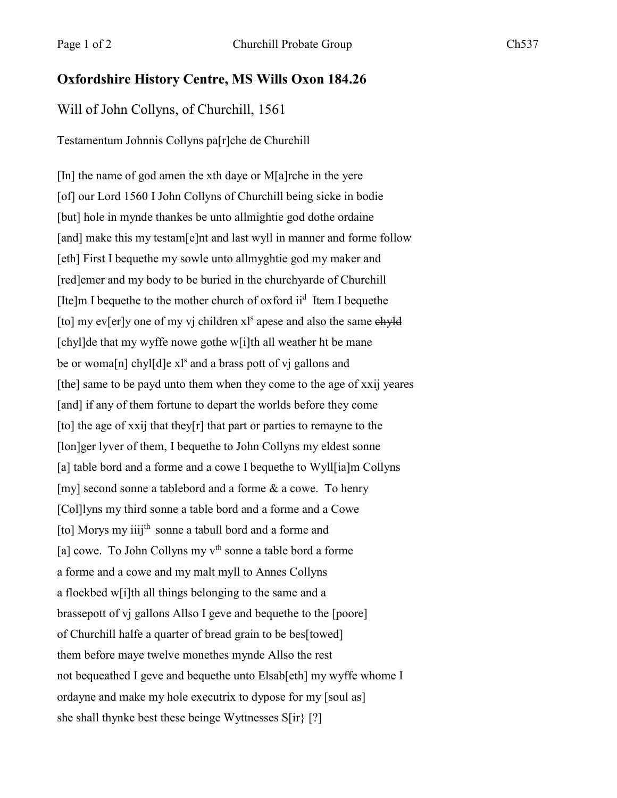## **Oxfordshire History Centre, MS Wills Oxon 184.26**

## Will of John Collyns, of Churchill, 1561

## Testamentum Johnnis Collyns pa[r]che de Churchill

[In] the name of god amen the xth daye or M[a]rche in the yere [of] our Lord 1560 I John Collyns of Churchill being sicke in bodie [but] hole in mynde thankes be unto allmightie god dothe ordaine [and] make this my testam[e]nt and last wyll in manner and forme follow [eth] First I bequethe my sowle unto allmyghtie god my maker and [red]emer and my body to be buried in the churchyarde of Churchill [Ite]m I bequethe to the mother church of oxford ii<sup>d</sup> Item I bequethe [to] my ev[er]y one of my vj children  $x<sup>1</sup>$  apese and also the same  $e$ hyld [chyl]de that my wyffe nowe gothe w[i]th all weather ht be mane be or woma<sup>[n]</sup> chyl<sup>[d]</sup>e x<sup>1s</sup> and a brass pott of v<sub>j</sub> gallons and [the] same to be payd unto them when they come to the age of xxij yeares [and] if any of them fortune to depart the worlds before they come [to] the age of xxij that they[r] that part or parties to remayne to the [lon]ger lyver of them, I bequethe to John Collyns my eldest sonne [a] table bord and a forme and a cowe I bequethe to Wyll[ia]m Collyns [my] second sonne a tablebord and a forme & a cowe. To henry [Col]lyns my third sonne a table bord and a forme and a Cowe [to] Morys my iiij<sup>th</sup> sonne a tabull bord and a forme and [a] cowe. To John Collyns my  $v<sup>th</sup>$  sonne a table bord a forme a forme and a cowe and my malt myll to Annes Collyns a flockbed w[i]th all things belonging to the same and a brassepott of vj gallons Allso I geve and bequethe to the [poore] of Churchill halfe a quarter of bread grain to be bes[towed] them before maye twelve monethes mynde Allso the rest not bequeathed I geve and bequethe unto Elsab[eth] my wyffe whome I ordayne and make my hole executrix to dypose for my [soul as] she shall thynke best these beinge Wyttnesses S[ir} [?]